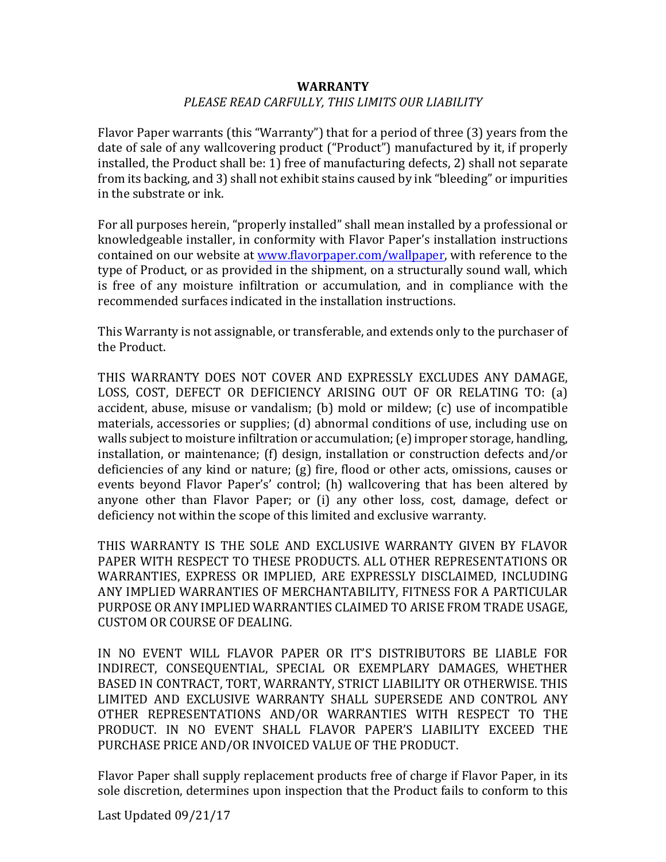## **WARRANTY** PLEASE READ CARFULLY, THIS LIMITS OUR LIABILITY

Flavor Paper warrants (this "Warranty") that for a period of three  $(3)$  years from the date of sale of any wallcovering product ("Product") manufactured by it, if properly installed, the Product shall be: 1) free of manufacturing defects, 2) shall not separate from its backing, and 3) shall not exhibit stains caused by ink "bleeding" or impurities in the substrate or ink.

For all purposes herein, "properly installed" shall mean installed by a professional or knowledgeable installer, in conformity with Flavor Paper's installation instructions contained on our website at www.flavorpaper.com/wallpaper, with reference to the type of Product, or as provided in the shipment, on a structurally sound wall, which is free of any moisture infiltration or accumulation, and in compliance with the recommended surfaces indicated in the installation instructions.

This Warranty is not assignable, or transferable, and extends only to the purchaser of the Product.

THIS WARRANTY DOES NOT COVER AND EXPRESSLY EXCLUDES ANY DAMAGE, LOSS, COST, DEFECT OR DEFICIENCY ARISING OUT OF OR RELATING TO: (a) accident, abuse, misuse or vandalism;  $(b)$  mold or mildew;  $(c)$  use of incompatible materials, accessories or supplies;  $(d)$  abnormal conditions of use, including use on walls subject to moisture infiltration or accumulation; (e) improper storage, handling, installation, or maintenance; (f) design, installation or construction defects and/or deficiencies of any kind or nature; (g) fire, flood or other acts, omissions, causes or events beyond Flavor Paper's' control; (h) wallcovering that has been altered by anyone other than Flavor Paper; or (i) any other loss, cost, damage, defect or deficiency not within the scope of this limited and exclusive warranty.

THIS WARRANTY IS THE SOLE AND EXCLUSIVE WARRANTY GIVEN BY FLAVOR PAPER WITH RESPECT TO THESE PRODUCTS. ALL OTHER REPRESENTATIONS OR WARRANTIES, EXPRESS OR IMPLIED, ARE EXPRESSLY DISCLAIMED, INCLUDING ANY IMPLIED WARRANTIES OF MERCHANTABILITY, FITNESS FOR A PARTICULAR PURPOSE OR ANY IMPLIED WARRANTIES CLAIMED TO ARISE FROM TRADE USAGE, CUSTOM OR COURSE OF DEALING.

IN NO EVENT WILL FLAVOR PAPER OR IT'S DISTRIBUTORS BE LIABLE FOR INDIRECT, CONSEQUENTIAL, SPECIAL OR EXEMPLARY DAMAGES, WHETHER BASED IN CONTRACT, TORT, WARRANTY, STRICT LIABILITY OR OTHERWISE, THIS LIMITED AND EXCLUSIVE WARRANTY SHALL SUPERSEDE AND CONTROL ANY OTHER REPRESENTATIONS AND/OR WARRANTIES WITH RESPECT TO THE PRODUCT. IN NO EVENT SHALL FLAVOR PAPER'S LIABILITY EXCEED THE PURCHASE PRICE AND/OR INVOICED VALUE OF THE PRODUCT.

Flavor Paper shall supply replacement products free of charge if Flavor Paper, in its sole discretion, determines upon inspection that the Product fails to conform to this

Last Updated 09/21/17